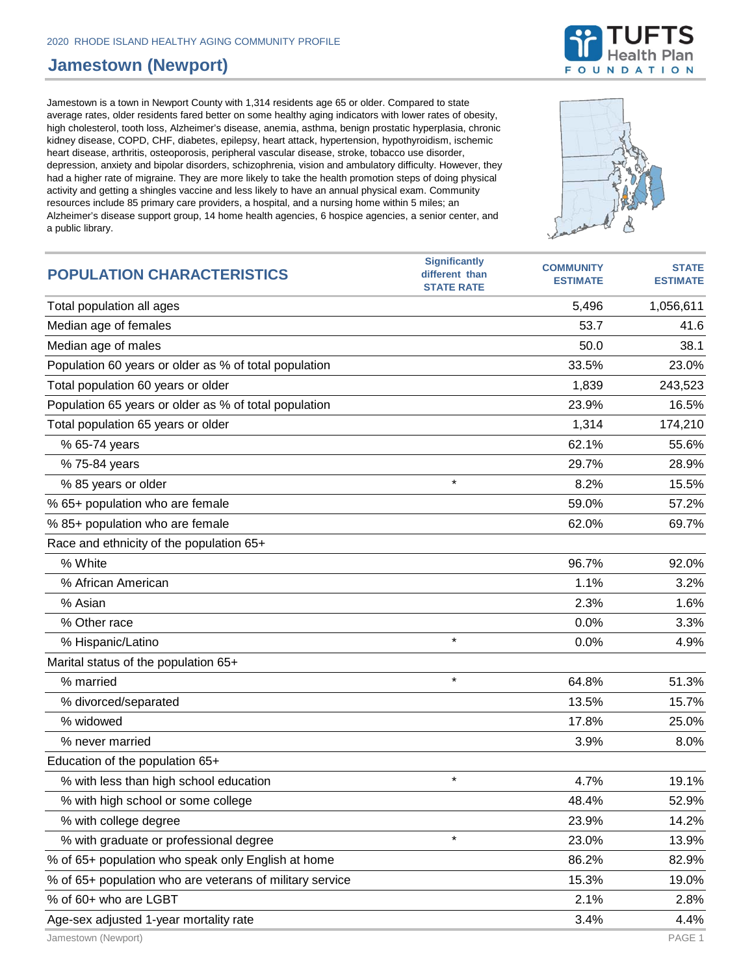## **Jamestown (Newport)**

Jamestown is a town in Newport County with 1,314 residents age 65 or older. Compared to state average rates, older residents fared better on some healthy aging indicators with lower rates of obesity, high cholesterol, tooth loss, Alzheimer's disease, anemia, asthma, benign prostatic hyperplasia, chronic kidney disease, COPD, CHF, diabetes, epilepsy, heart attack, hypertension, hypothyroidism, ischemic heart disease, arthritis, osteoporosis, peripheral vascular disease, stroke, tobacco use disorder, depression, anxiety and bipolar disorders, schizophrenia, vision and ambulatory difficulty. However, they had a higher rate of migraine. They are more likely to take the health promotion steps of doing physical activity and getting a shingles vaccine and less likely to have an annual physical exam. Community resources include 85 primary care providers, a hospital, and a nursing home within 5 miles; an Alzheimer's disease support group, 14 home health agencies, 6 hospice agencies, a senior center, and a public library.



Jamestown (Newport) PAGE 1

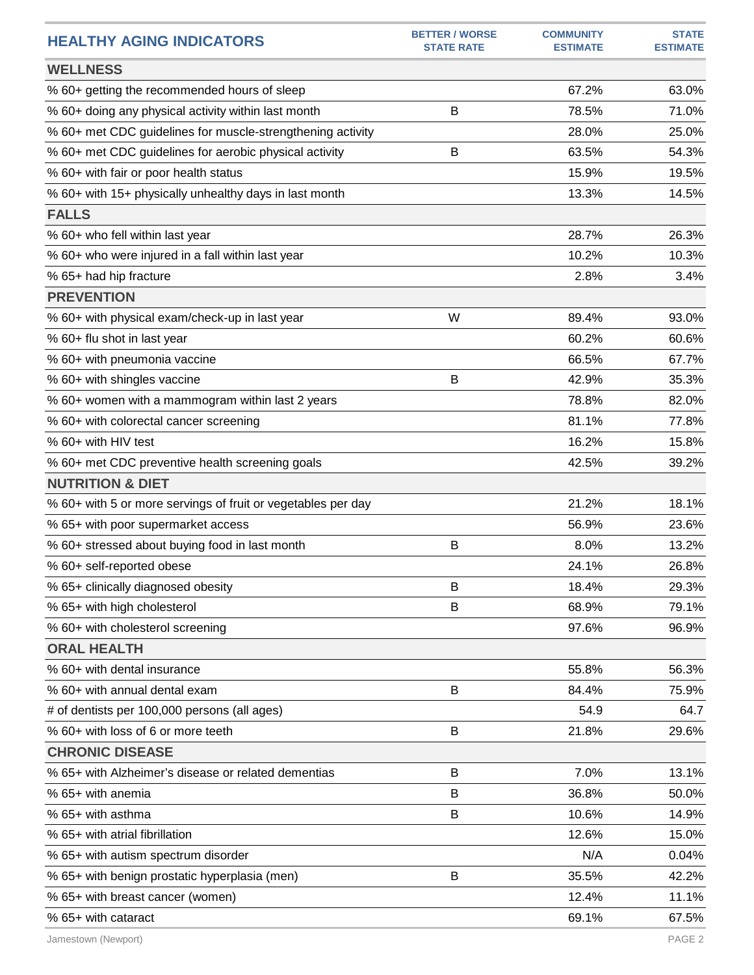| <b>HEALTHY AGING INDICATORS</b>                              | <b>BETTER / WORSE</b><br><b>STATE RATE</b> | <b>COMMUNITY</b><br><b>ESTIMATE</b> | <b>STATE</b><br><b>ESTIMATE</b> |
|--------------------------------------------------------------|--------------------------------------------|-------------------------------------|---------------------------------|
| <b>WELLNESS</b>                                              |                                            |                                     |                                 |
| % 60+ getting the recommended hours of sleep                 |                                            | 67.2%                               | 63.0%                           |
| % 60+ doing any physical activity within last month          | B                                          | 78.5%                               | 71.0%                           |
| % 60+ met CDC guidelines for muscle-strengthening activity   |                                            | 28.0%                               | 25.0%                           |
| % 60+ met CDC guidelines for aerobic physical activity       | B                                          | 63.5%                               | 54.3%                           |
| % 60+ with fair or poor health status                        |                                            | 15.9%                               | 19.5%                           |
| % 60+ with 15+ physically unhealthy days in last month       |                                            | 13.3%                               | 14.5%                           |
| <b>FALLS</b>                                                 |                                            |                                     |                                 |
| % 60+ who fell within last year                              |                                            | 28.7%                               | 26.3%                           |
| % 60+ who were injured in a fall within last year            |                                            | 10.2%                               | 10.3%                           |
| % 65+ had hip fracture                                       |                                            | 2.8%                                | 3.4%                            |
| <b>PREVENTION</b>                                            |                                            |                                     |                                 |
| % 60+ with physical exam/check-up in last year               | W                                          | 89.4%                               | 93.0%                           |
| % 60+ flu shot in last year                                  |                                            | 60.2%                               | 60.6%                           |
| % 60+ with pneumonia vaccine                                 |                                            | 66.5%                               | 67.7%                           |
| % 60+ with shingles vaccine                                  | В                                          | 42.9%                               | 35.3%                           |
| % 60+ women with a mammogram within last 2 years             |                                            | 78.8%                               | 82.0%                           |
| % 60+ with colorectal cancer screening                       |                                            | 81.1%                               | 77.8%                           |
| % 60+ with HIV test                                          |                                            | 16.2%                               | 15.8%                           |
| % 60+ met CDC preventive health screening goals              |                                            | 42.5%                               | 39.2%                           |
| <b>NUTRITION &amp; DIET</b>                                  |                                            |                                     |                                 |
| % 60+ with 5 or more servings of fruit or vegetables per day |                                            | 21.2%                               | 18.1%                           |
| % 65+ with poor supermarket access                           |                                            | 56.9%                               | 23.6%                           |
| % 60+ stressed about buying food in last month               | B                                          | 8.0%                                | 13.2%                           |
| % 60+ self-reported obese                                    |                                            | 24.1%                               | 26.8%                           |
| % 65+ clinically diagnosed obesity                           | В                                          | 18.4%                               | 29.3%                           |
| % 65+ with high cholesterol                                  | B                                          | 68.9%                               | 79.1%                           |
| % 60+ with cholesterol screening                             |                                            | 97.6%                               | 96.9%                           |
| <b>ORAL HEALTH</b>                                           |                                            |                                     |                                 |
| % 60+ with dental insurance                                  |                                            | 55.8%                               | 56.3%                           |
| % 60+ with annual dental exam                                | В                                          | 84.4%                               | 75.9%                           |
| # of dentists per 100,000 persons (all ages)                 |                                            | 54.9                                | 64.7                            |
| % 60+ with loss of 6 or more teeth                           | B                                          | 21.8%                               | 29.6%                           |
| <b>CHRONIC DISEASE</b>                                       |                                            |                                     |                                 |
| % 65+ with Alzheimer's disease or related dementias          | B                                          | 7.0%                                | 13.1%                           |
| % 65+ with anemia                                            | B                                          | 36.8%                               | 50.0%                           |
| % 65+ with asthma                                            | B                                          | 10.6%                               | 14.9%                           |
| % 65+ with atrial fibrillation                               |                                            | 12.6%                               | 15.0%                           |
| % 65+ with autism spectrum disorder                          |                                            | N/A                                 | 0.04%                           |
| % 65+ with benign prostatic hyperplasia (men)                | B                                          | 35.5%                               | 42.2%                           |
| % 65+ with breast cancer (women)                             |                                            | 12.4%                               | 11.1%                           |
| % 65+ with cataract                                          |                                            | 69.1%                               | 67.5%                           |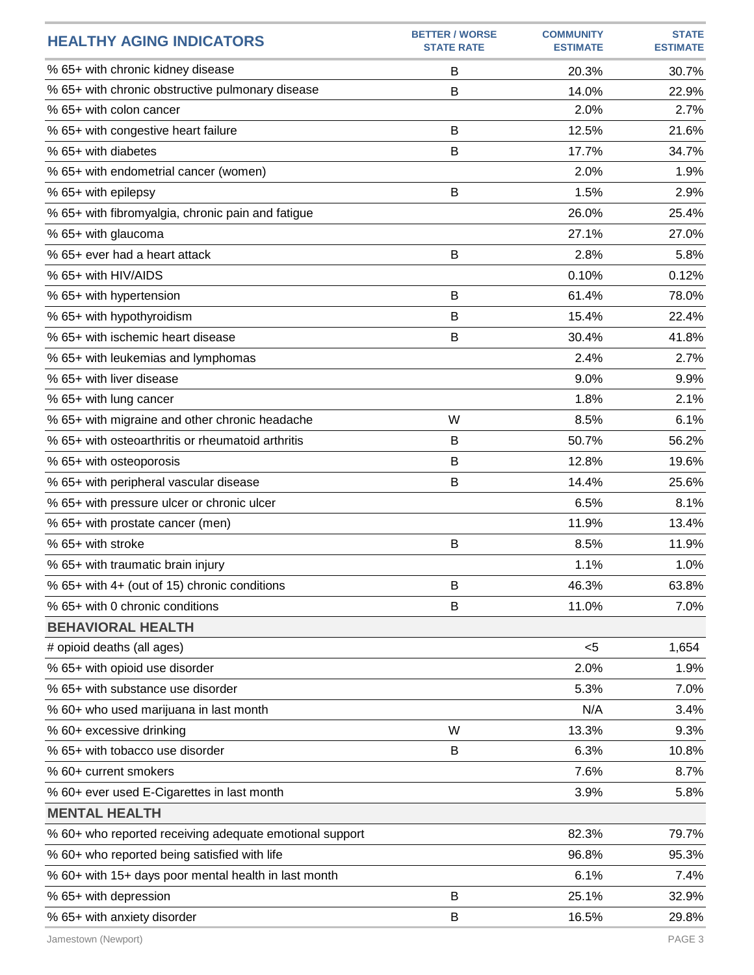| <b>HEALTHY AGING INDICATORS</b>                         | <b>BETTER / WORSE</b><br><b>STATE RATE</b> | <b>COMMUNITY</b><br><b>ESTIMATE</b> | <b>STATE</b><br><b>ESTIMATE</b> |
|---------------------------------------------------------|--------------------------------------------|-------------------------------------|---------------------------------|
| % 65+ with chronic kidney disease                       | B                                          | 20.3%                               | 30.7%                           |
| % 65+ with chronic obstructive pulmonary disease        | B                                          | 14.0%                               | 22.9%                           |
| % 65+ with colon cancer                                 |                                            | 2.0%                                | 2.7%                            |
| % 65+ with congestive heart failure                     | B                                          | 12.5%                               | 21.6%                           |
| % 65+ with diabetes                                     | B                                          | 17.7%                               | 34.7%                           |
| % 65+ with endometrial cancer (women)                   |                                            | 2.0%                                | 1.9%                            |
| % 65+ with epilepsy                                     | B                                          | 1.5%                                | 2.9%                            |
| % 65+ with fibromyalgia, chronic pain and fatigue       |                                            | 26.0%                               | 25.4%                           |
| % 65+ with glaucoma                                     |                                            | 27.1%                               | 27.0%                           |
| % 65+ ever had a heart attack                           | B                                          | 2.8%                                | 5.8%                            |
| % 65+ with HIV/AIDS                                     |                                            | 0.10%                               | 0.12%                           |
| % 65+ with hypertension                                 | B                                          | 61.4%                               | 78.0%                           |
| % 65+ with hypothyroidism                               | B                                          | 15.4%                               | 22.4%                           |
| % 65+ with ischemic heart disease                       | B                                          | 30.4%                               | 41.8%                           |
| % 65+ with leukemias and lymphomas                      |                                            | 2.4%                                | 2.7%                            |
| % 65+ with liver disease                                |                                            | 9.0%                                | 9.9%                            |
| % 65+ with lung cancer                                  |                                            | 1.8%                                | 2.1%                            |
| % 65+ with migraine and other chronic headache          | W                                          | 8.5%                                | 6.1%                            |
| % 65+ with osteoarthritis or rheumatoid arthritis       | B                                          | 50.7%                               | 56.2%                           |
| % 65+ with osteoporosis                                 | B                                          | 12.8%                               | 19.6%                           |
| % 65+ with peripheral vascular disease                  | B                                          | 14.4%                               | 25.6%                           |
| % 65+ with pressure ulcer or chronic ulcer              |                                            | 6.5%                                | 8.1%                            |
| % 65+ with prostate cancer (men)                        |                                            | 11.9%                               | 13.4%                           |
| % 65+ with stroke                                       | B                                          | 8.5%                                | 11.9%                           |
| % 65+ with traumatic brain injury                       |                                            | 1.1%                                | 1.0%                            |
| % 65+ with 4+ (out of 15) chronic conditions            | B                                          | 46.3%                               | 63.8%                           |
| % 65+ with 0 chronic conditions                         | B                                          | 11.0%                               | 7.0%                            |
| <b>BEHAVIORAL HEALTH</b>                                |                                            |                                     |                                 |
| # opioid deaths (all ages)                              |                                            | $<$ 5                               | 1,654                           |
| % 65+ with opioid use disorder                          |                                            | 2.0%                                | 1.9%                            |
| % 65+ with substance use disorder                       |                                            | 5.3%                                | 7.0%                            |
| % 60+ who used marijuana in last month                  |                                            | N/A                                 | 3.4%                            |
| % 60+ excessive drinking                                | W                                          | 13.3%                               | 9.3%                            |
| % 65+ with tobacco use disorder                         | B                                          | 6.3%                                | 10.8%                           |
| % 60+ current smokers                                   |                                            | 7.6%                                | 8.7%                            |
| % 60+ ever used E-Cigarettes in last month              |                                            | 3.9%                                | 5.8%                            |
| <b>MENTAL HEALTH</b>                                    |                                            |                                     |                                 |
| % 60+ who reported receiving adequate emotional support |                                            | 82.3%                               | 79.7%                           |
| % 60+ who reported being satisfied with life            |                                            | 96.8%                               | 95.3%                           |
| % 60+ with 15+ days poor mental health in last month    |                                            | 6.1%                                | 7.4%                            |
| % 65+ with depression                                   | B                                          | 25.1%                               | 32.9%                           |
| % 65+ with anxiety disorder                             | B                                          | 16.5%                               | 29.8%                           |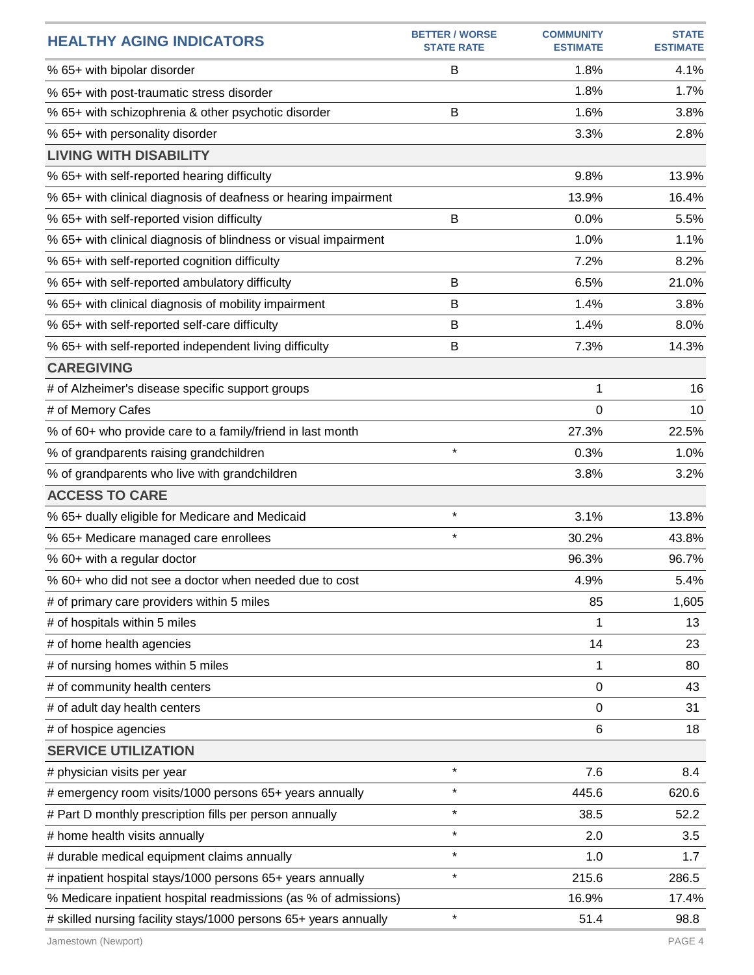| <b>HEALTHY AGING INDICATORS</b>                                  | <b>BETTER / WORSE</b><br><b>STATE RATE</b> | <b>COMMUNITY</b><br><b>ESTIMATE</b> | <b>STATE</b><br><b>ESTIMATE</b> |
|------------------------------------------------------------------|--------------------------------------------|-------------------------------------|---------------------------------|
| % 65+ with bipolar disorder                                      | B                                          | 1.8%                                | 4.1%                            |
| % 65+ with post-traumatic stress disorder                        |                                            | 1.8%                                | 1.7%                            |
| % 65+ with schizophrenia & other psychotic disorder              | B                                          | 1.6%                                | 3.8%                            |
| % 65+ with personality disorder                                  |                                            | 3.3%                                | 2.8%                            |
| <b>LIVING WITH DISABILITY</b>                                    |                                            |                                     |                                 |
| % 65+ with self-reported hearing difficulty                      |                                            | 9.8%                                | 13.9%                           |
| % 65+ with clinical diagnosis of deafness or hearing impairment  |                                            | 13.9%                               | 16.4%                           |
| % 65+ with self-reported vision difficulty                       | B                                          | 0.0%                                | 5.5%                            |
| % 65+ with clinical diagnosis of blindness or visual impairment  |                                            | 1.0%                                | 1.1%                            |
| % 65+ with self-reported cognition difficulty                    |                                            | 7.2%                                | 8.2%                            |
| % 65+ with self-reported ambulatory difficulty                   | B                                          | 6.5%                                | 21.0%                           |
| % 65+ with clinical diagnosis of mobility impairment             | B                                          | 1.4%                                | 3.8%                            |
| % 65+ with self-reported self-care difficulty                    | B                                          | 1.4%                                | 8.0%                            |
| % 65+ with self-reported independent living difficulty           | B                                          | 7.3%                                | 14.3%                           |
| <b>CAREGIVING</b>                                                |                                            |                                     |                                 |
| # of Alzheimer's disease specific support groups                 |                                            | 1                                   | 16                              |
| # of Memory Cafes                                                |                                            | 0                                   | 10                              |
| % of 60+ who provide care to a family/friend in last month       |                                            | 27.3%                               | 22.5%                           |
| % of grandparents raising grandchildren                          | $\star$                                    | 0.3%                                | 1.0%                            |
| % of grandparents who live with grandchildren                    |                                            | 3.8%                                | 3.2%                            |
| <b>ACCESS TO CARE</b>                                            |                                            |                                     |                                 |
| % 65+ dually eligible for Medicare and Medicaid                  | $\star$                                    | 3.1%                                | 13.8%                           |
| % 65+ Medicare managed care enrollees                            | $\star$                                    | 30.2%                               | 43.8%                           |
| % 60+ with a regular doctor                                      |                                            | 96.3%                               | 96.7%                           |
| % 60+ who did not see a doctor when needed due to cost           |                                            | 4.9%                                | 5.4%                            |
| # of primary care providers within 5 miles                       |                                            | 85                                  | 1,605                           |
| # of hospitals within 5 miles                                    |                                            | 1                                   | 13                              |
| # of home health agencies                                        |                                            | 14                                  | 23                              |
| # of nursing homes within 5 miles                                |                                            | 1                                   | 80                              |
| # of community health centers                                    |                                            | 0                                   | 43                              |
| # of adult day health centers                                    |                                            | 0                                   | 31                              |
| # of hospice agencies                                            |                                            | 6                                   | 18                              |
| <b>SERVICE UTILIZATION</b>                                       |                                            |                                     |                                 |
| # physician visits per year                                      | $\star$                                    | 7.6                                 | 8.4                             |
| # emergency room visits/1000 persons 65+ years annually          | $\star$                                    | 445.6                               | 620.6                           |
| # Part D monthly prescription fills per person annually          | $\star$                                    | 38.5                                | 52.2                            |
| # home health visits annually                                    | $\star$                                    | 2.0                                 | 3.5                             |
| # durable medical equipment claims annually                      | $\star$                                    | 1.0                                 | 1.7                             |
| # inpatient hospital stays/1000 persons 65+ years annually       | $\star$                                    | 215.6                               | 286.5                           |
| % Medicare inpatient hospital readmissions (as % of admissions)  |                                            | 16.9%                               | 17.4%                           |
| # skilled nursing facility stays/1000 persons 65+ years annually | $\star$                                    | 51.4                                | 98.8                            |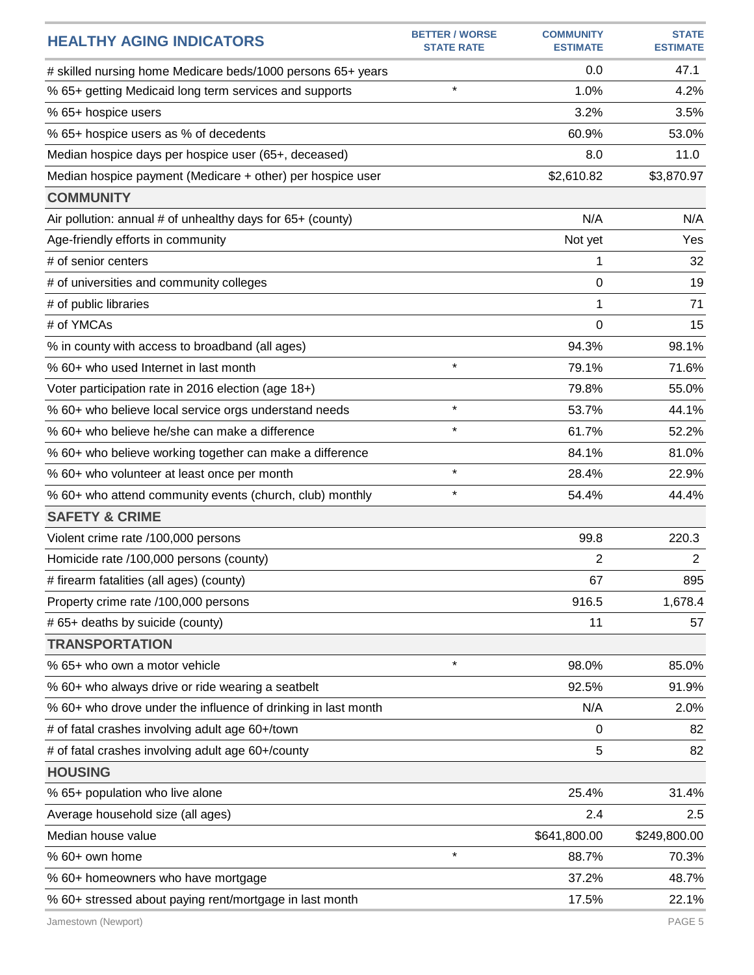| <b>HEALTHY AGING INDICATORS</b>                               | <b>BETTER / WORSE</b><br><b>STATE RATE</b> | <b>COMMUNITY</b><br><b>ESTIMATE</b> | <b>STATE</b><br><b>ESTIMATE</b> |
|---------------------------------------------------------------|--------------------------------------------|-------------------------------------|---------------------------------|
| # skilled nursing home Medicare beds/1000 persons 65+ years   |                                            | 0.0                                 | 47.1                            |
| % 65+ getting Medicaid long term services and supports        | $\star$                                    | 1.0%                                | 4.2%                            |
| % 65+ hospice users                                           |                                            | 3.2%                                | 3.5%                            |
| % 65+ hospice users as % of decedents                         |                                            | 60.9%                               | 53.0%                           |
| Median hospice days per hospice user (65+, deceased)          |                                            | 8.0                                 | 11.0                            |
| Median hospice payment (Medicare + other) per hospice user    |                                            | \$2,610.82                          | \$3,870.97                      |
| <b>COMMUNITY</b>                                              |                                            |                                     |                                 |
| Air pollution: annual # of unhealthy days for 65+ (county)    |                                            | N/A                                 | N/A                             |
| Age-friendly efforts in community                             |                                            | Not yet                             | Yes                             |
| # of senior centers                                           |                                            | 1                                   | 32                              |
| # of universities and community colleges                      |                                            | 0                                   | 19                              |
| # of public libraries                                         |                                            | 1                                   | 71                              |
| # of YMCAs                                                    |                                            | $\Omega$                            | 15                              |
| % in county with access to broadband (all ages)               |                                            | 94.3%                               | 98.1%                           |
| % 60+ who used Internet in last month                         | $\star$                                    | 79.1%                               | 71.6%                           |
| Voter participation rate in 2016 election (age 18+)           |                                            | 79.8%                               | 55.0%                           |
| % 60+ who believe local service orgs understand needs         | $\star$                                    | 53.7%                               | 44.1%                           |
| % 60+ who believe he/she can make a difference                | $\star$                                    | 61.7%                               | 52.2%                           |
| % 60+ who believe working together can make a difference      |                                            | 84.1%                               | 81.0%                           |
| % 60+ who volunteer at least once per month                   | $\star$                                    | 28.4%                               | 22.9%                           |
| % 60+ who attend community events (church, club) monthly      | $\star$                                    | 54.4%                               | 44.4%                           |
| <b>SAFETY &amp; CRIME</b>                                     |                                            |                                     |                                 |
| Violent crime rate /100,000 persons                           |                                            | 99.8                                | 220.3                           |
| Homicide rate /100,000 persons (county)                       |                                            | 2                                   | $\overline{2}$                  |
| # firearm fatalities (all ages) (county)                      |                                            | 67                                  | 895                             |
| Property crime rate /100,000 persons                          |                                            | 916.5                               | 1,678.4                         |
| # 65+ deaths by suicide (county)                              |                                            | 11                                  | 57                              |
| <b>TRANSPORTATION</b>                                         |                                            |                                     |                                 |
| % 65+ who own a motor vehicle                                 | $\star$                                    | 98.0%                               | 85.0%                           |
| % 60+ who always drive or ride wearing a seatbelt             |                                            | 92.5%                               | 91.9%                           |
| % 60+ who drove under the influence of drinking in last month |                                            | N/A                                 | 2.0%                            |
| # of fatal crashes involving adult age 60+/town               |                                            | 0                                   | 82                              |
| # of fatal crashes involving adult age 60+/county             |                                            | 5                                   | 82                              |
| <b>HOUSING</b>                                                |                                            |                                     |                                 |
| % 65+ population who live alone                               |                                            | 25.4%                               | 31.4%                           |
| Average household size (all ages)                             |                                            | 2.4                                 | 2.5                             |
| Median house value                                            |                                            | \$641,800.00                        | \$249,800.00                    |
| % 60+ own home                                                | $\star$                                    | 88.7%                               | 70.3%                           |
| % 60+ homeowners who have mortgage                            |                                            | 37.2%                               | 48.7%                           |
| % 60+ stressed about paying rent/mortgage in last month       |                                            | 17.5%                               | 22.1%                           |